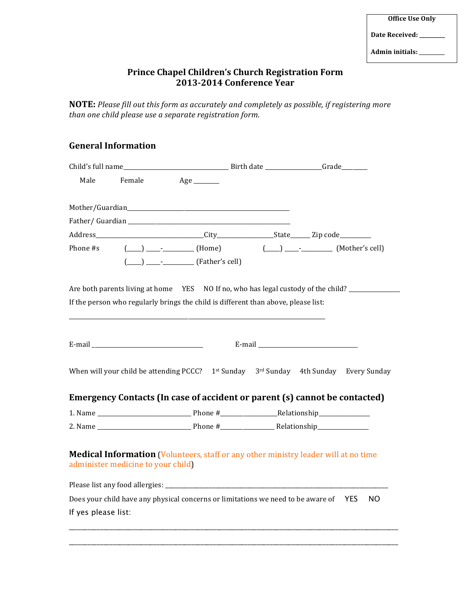## Admin initials: \_\_\_\_\_\_\_\_

## **Prince Chapel Children's Church Registration Form 2013-2014 Conference Year**

**NOTE:** Please fill out this form as accurately and completely as possible, if registering more than one child please use a separate registration form.

## **General Information**

| Male                                                                                                                             | Female                                                                                                                                                                                                                        | $Age$ <sub>_________</sub> |  |  |  |  |
|----------------------------------------------------------------------------------------------------------------------------------|-------------------------------------------------------------------------------------------------------------------------------------------------------------------------------------------------------------------------------|----------------------------|--|--|--|--|
|                                                                                                                                  |                                                                                                                                                                                                                               |                            |  |  |  |  |
|                                                                                                                                  |                                                                                                                                                                                                                               |                            |  |  |  |  |
|                                                                                                                                  | Father/Guardian                                                                                                                                                                                                               |                            |  |  |  |  |
|                                                                                                                                  |                                                                                                                                                                                                                               |                            |  |  |  |  |
|                                                                                                                                  | Phone #s (____) _____ _________(Home) (____) ____ __________(Mother's cell)                                                                                                                                                   |                            |  |  |  |  |
|                                                                                                                                  | $(\_\_) \_\_$ - $\_\_$ - $\_\_$ (Father's cell)                                                                                                                                                                               |                            |  |  |  |  |
|                                                                                                                                  |                                                                                                                                                                                                                               |                            |  |  |  |  |
| Are both parents living at home YES NO If no, who has legal custody of the child?                                                |                                                                                                                                                                                                                               |                            |  |  |  |  |
| If the person who regularly brings the child is different than above, please list:                                               |                                                                                                                                                                                                                               |                            |  |  |  |  |
|                                                                                                                                  |                                                                                                                                                                                                                               |                            |  |  |  |  |
|                                                                                                                                  |                                                                                                                                                                                                                               |                            |  |  |  |  |
|                                                                                                                                  | E-mail experience and the second state of the second state of the second state of the second state of the second state of the second state of the second state of the second state of the second state of the second state of |                            |  |  |  |  |
|                                                                                                                                  |                                                                                                                                                                                                                               |                            |  |  |  |  |
|                                                                                                                                  | When will your child be attending PCCC? $1^{st}$ Sunday $3^{rd}$ Sunday 4th Sunday Every Sunday                                                                                                                               |                            |  |  |  |  |
|                                                                                                                                  |                                                                                                                                                                                                                               |                            |  |  |  |  |
|                                                                                                                                  | Emergency Contacts (In case of accident or parent (s) cannot be contacted)                                                                                                                                                    |                            |  |  |  |  |
|                                                                                                                                  |                                                                                                                                                                                                                               |                            |  |  |  |  |
|                                                                                                                                  |                                                                                                                                                                                                                               |                            |  |  |  |  |
|                                                                                                                                  |                                                                                                                                                                                                                               |                            |  |  |  |  |
| <b>Medical Information (Volunteers, staff or any other ministry leader will at no time</b><br>administer medicine to your child) |                                                                                                                                                                                                                               |                            |  |  |  |  |
|                                                                                                                                  |                                                                                                                                                                                                                               |                            |  |  |  |  |
| Does your child have any physical concerns or limitations we need to be aware of YES<br>NO.                                      |                                                                                                                                                                                                                               |                            |  |  |  |  |
| If yes please list:                                                                                                              |                                                                                                                                                                                                                               |                            |  |  |  |  |
|                                                                                                                                  |                                                                                                                                                                                                                               |                            |  |  |  |  |

\_\_\_\_\_\_\_\_\_\_\_\_\_\_\_\_\_\_\_\_\_\_\_\_\_\_\_\_\_\_\_\_\_\_\_\_\_\_\_\_\_\_\_\_\_\_\_\_\_\_\_\_\_\_\_\_\_\_\_\_\_\_\_\_\_\_\_\_\_\_\_\_\_\_\_\_\_\_\_\_\_\_\_\_\_\_\_\_\_\_\_\_\_\_\_\_\_\_\_\_\_\_\_\_\_